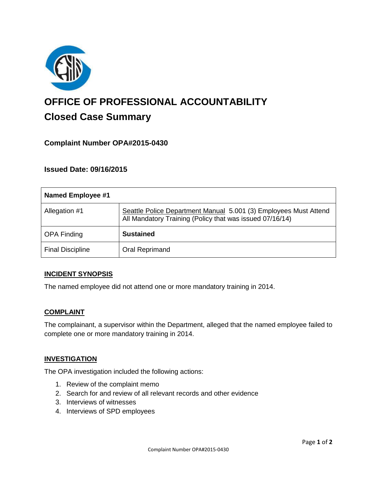

# **OFFICE OF PROFESSIONAL ACCOUNTABILITY Closed Case Summary**

# **Complaint Number OPA#2015-0430**

## **Issued Date: 09/16/2015**

| <b>Named Employee #1</b> |                                                                                                                              |
|--------------------------|------------------------------------------------------------------------------------------------------------------------------|
| Allegation #1            | Seattle Police Department Manual 5.001 (3) Employees Must Attend<br>All Mandatory Training (Policy that was issued 07/16/14) |
| <b>OPA Finding</b>       | <b>Sustained</b>                                                                                                             |
| <b>Final Discipline</b>  | Oral Reprimand                                                                                                               |

#### **INCIDENT SYNOPSIS**

The named employee did not attend one or more mandatory training in 2014.

#### **COMPLAINT**

The complainant, a supervisor within the Department, alleged that the named employee failed to complete one or more mandatory training in 2014.

#### **INVESTIGATION**

The OPA investigation included the following actions:

- 1. Review of the complaint memo
- 2. Search for and review of all relevant records and other evidence
- 3. Interviews of witnesses
- 4. Interviews of SPD employees